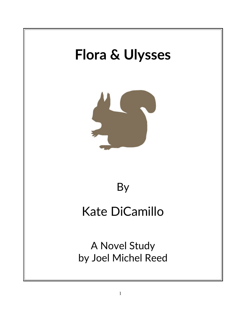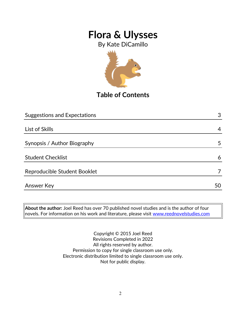By Kate DiCamillo



**Table of Contents**

| <b>Suggestions and Expectations</b> | 3  |
|-------------------------------------|----|
|                                     |    |
| List of Skills                      | 4  |
|                                     |    |
| Synopsis / Author Biography         | 5  |
| <b>Student Checklist</b>            | 6  |
| Reproducible Student Booklet        |    |
| <b>Answer Key</b>                   | 50 |
|                                     |    |

**About the author:** Joel Reed has over 70 published novel studies and is the author of four novels. For information on his work and literature, please visit [www.reednovelstudies.com](http://www.reednovelstudies.com/)

> Copyright © 2015 Joel Reed Revisions Completed in 2022 All rights reserved by author. Permission to copy for single classroom use only. Electronic distribution limited to single classroom use only. Not for public display.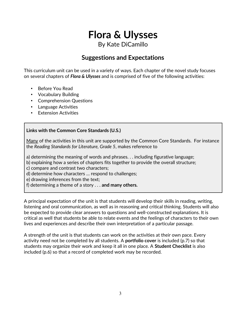By Kate DiCamillo

### **Suggestions and Expectations**

This curriculum unit can be used in a variety of ways. Each chapter of the novel study focuses on several chapters of *Flora & Ulysses* and is comprised of five of the following activities:

- Before You Read
- Vocabulary Building
- Comprehension Questions
- Language Activities
- **Extension Activities**

#### **Links with the Common Core Standards (U.S.)**

Many of the activities in this unit are supported by the Common Core Standards. For instance the *Reading Standards for Literature, Grade 5*, makes reference to

a) determining the meaning of words and phrases. . . including figurative language;

- b) explaining how a series of chapters fits together to provide the overall structure;
- c) compare and contrast two characters;
- d) determine how characters … respond to challenges;

e) drawing inferences from the text;

f) determining a theme of a story . . . **and many others.**

A principal expectation of the unit is that students will develop their skills in reading, writing, listening and oral communication, as well as in reasoning and critical thinking. Students will also be expected to provide clear answers to questions and well-constructed explanations. It is critical as well that students be able to relate events and the feelings of characters to their own lives and experiences and describe their own interpretation of a particular passage.

A strength of the unit is that students can work on the activities at their own pace. Every activity need not be completed by all students. A **portfolio cover** is included (p.7) so that students may organize their work and keep it all in one place. A **Student Checklist** is also included (p.6) so that a record of completed work may be recorded.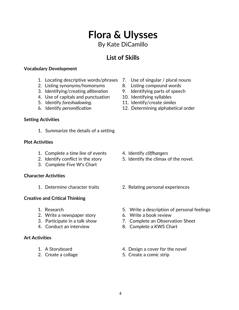## 4

## **Flora & Ulysses** By Kate DiCamillo

### **List of Skills**

#### **Vocabulary Development**

- 1. Locating descriptive words/phrases 7. Use of singular / plural nouns
- 2. Listing synonyms/homonyms 8. Listing compound words
- 3. Identifying/creating *alliteration* 9. Identifying parts of speech
- 4. Use of capitals and punctuation 10. Identifying syllables
- 
- 

#### **Setting Activities**

1. Summarize the details of a setting

#### **Plot Activities**

- 1. Complete a *time line* of events 4. Identify *cliffhangers*
- 
- 3. Complete Five W's Chart

#### **Character Activities**

#### **Creative and Critical Thinking**

- 
- 2. Write a newspaper story 6. Write a book review
- 
- 

#### **Art Activities**

- 
- 
- 
- 
- 
- 
- 5. Identify *foreshadowing*. 11. Identify/create *similes*
- 6. Identify *personification* 12. Determining alphabetical order

- 
- 2. Identify conflict in the story 5. Identify the climax of the novel.
- 1. Determine character traits 2. Relating personal experiences
- 1. Research 5. Write a description of personal feelings
	-
- 3. Participate in a talk show 7. Complete an Observation Sheet
- 4. Conduct an interview 8. Complete a KWS Chart
- 1. A Storyboard **1.** A Storyboard **1.** A Storyboard
- 2. Create a collage 5. Create a comic strip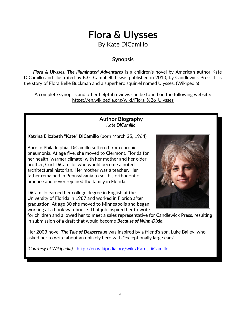## **Flora & Ulysses** By Kate DiCamillo

### **Synopsis**

 *Flora & Ulysses: The Illuminated Adventures* is a children's novel by American author Kate DiCamillo and illustrated by K.G. Campbell. It was published in 2013, by Candlewick Press. It is the story of Flora Belle Buckman and a superhero squirrel named Ulysses. (Wikipedia)

A complete synopsis and other helpful reviews can be found on the following website: https://en.wikipedia.org/wiki/Flora\_%26\_Ulysses

> **Author Biography** *Kate DiCamillo*

**Katrina Elizabeth "Kate" DiCamillo** (born March 25, 1964)

Born in Philadelphia, DiCamillo suffered from chronic pneumonia. At age five, she moved to Clermont, Florida for her health (warmer climate) with her mother and her older brother, Curt DiCamillo, who would become a noted architectural historian. Her mother was a teacher. Her father remained in Pennsylvania to sell his orthodontic practice and never rejoined the family in Florida.

DiCamillo earned her college degree in English at the University of Florida in 1987 and worked in Florida after graduation. At age 30 she moved to Minneapolis and began working at a book warehouse. That job inspired her to write



for children and allowed her to meet a sales representative for Candlewick Press, resulting in submission of a draft that would become *Because of Winn-Dixie*.

Her 2003 novel *The Tale of Despereaux* was inspired by a friend's son, Luke Bailey, who asked her to write about an unlikely hero with "exceptionally large ears".

*(Courtesy of Wikipedia) -* [http://en.wikipedia.org/wiki/Kate\\_DiCamillo](http://en.wikipedia.org/wiki/Kate_DiCamillo)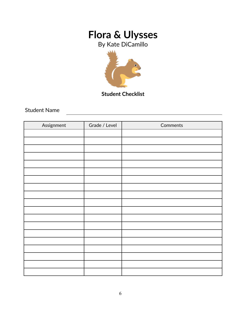By Kate DiCamillo



**Student Checklist**

Student Name

| Assignment | Grade / Level | Comments |
|------------|---------------|----------|
|            |               |          |
|            |               |          |
|            |               |          |
|            |               |          |
|            |               |          |
|            |               |          |
|            |               |          |
|            |               |          |
|            |               |          |
|            |               |          |
|            |               |          |
|            |               |          |
|            |               |          |
|            |               |          |
|            |               |          |
|            |               |          |
|            |               |          |
|            |               |          |
|            |               |          |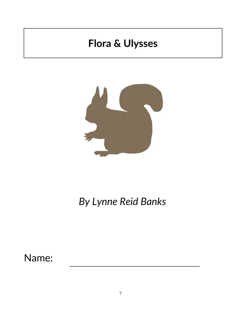

# *By Lynne Reid Banks*

Name: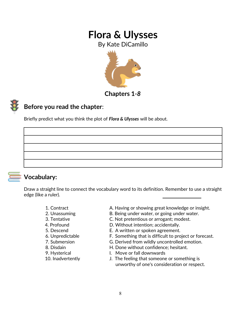By Kate DiCamillo



**Chapters 1***-8*

### **Before you read the chapter**:

Briefly predict what you think the plot of *Flora & Ulysses* will be about.



### **Vocabulary:**

Draw a straight line to connect the vocabulary word to its definition. Remember to use a straight edge (like a ruler).

- 
- 
- 
- 
- 
- 
- 
- 
- 
- 
- 1. Contract **A. Having or showing great knowledge or insight.**
- 2. Unassuming B. Being under water, or going under water.
- 3. Tentative C. Not pretentious or arrogant; modest.
- 4. Profound D. Without intention; accidentally.
- 5. Descend E. A written or spoken agreement.
- 6. Unpredictable F. Something that is difficult to project or forecast.
- 7. Submersion G. Derived from wildly uncontrolled emotion.
- 8. Disdain **H. Done without confidence**; hesitant.
- 9. Hysterical **I. Move or fall downwards**
- 10. Inadvertently J. The feeling that someone or something is unworthy of one's consideration or respect.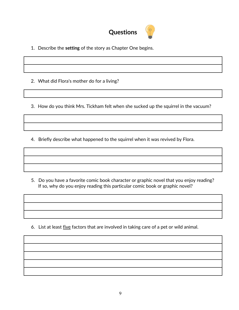

- 1. Describe the **setting** of the story as Chapter One begins.
- 2. What did Flora's mother do for a living?
- 3. How do you think Mrs. Tickham felt when she sucked up the squirrel in the vacuum?
- 4. Briefly describe what happened to the squirrel when it was revived by Flora.

 5. Do you have a favorite comic book character or graphic novel that you enjoy reading? If so, why do you enjoy reading this particular comic book or graphic novel?

6. List at least five factors that are involved in taking care of a pet or wild animal.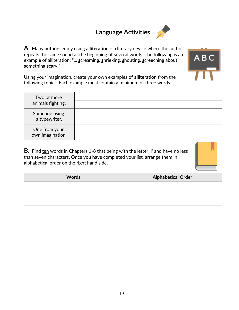## **Language Activities**



**A**. Many authors enjoy using **alliteration –** a literary device where the author repeats the same sound at the beginning of several words. The following is an example of alliteration: "... **s**creaming, **s**hrieking, **s**houting, **s**creeching about **s**omething **s**cary."



Using your imagination, create your own examples of **alliteration** from the following topics. Each example must contain a minimum of three words.

| Two or more<br>animals fighting.  |  |
|-----------------------------------|--|
| Someone using<br>a typewriter.    |  |
| One from your<br>own imagination. |  |

**B.** Find ten words in Chapters 1-8 that being with the letter 'I' and have no less than seven characters. Once you have completed your list, arrange them in alphabetical order on the right hand side.



| <b>Words</b> | <b>Alphabetical Order</b> |
|--------------|---------------------------|
|              |                           |
|              |                           |
|              |                           |
|              |                           |
|              |                           |
|              |                           |
|              |                           |
|              |                           |
|              |                           |
|              |                           |